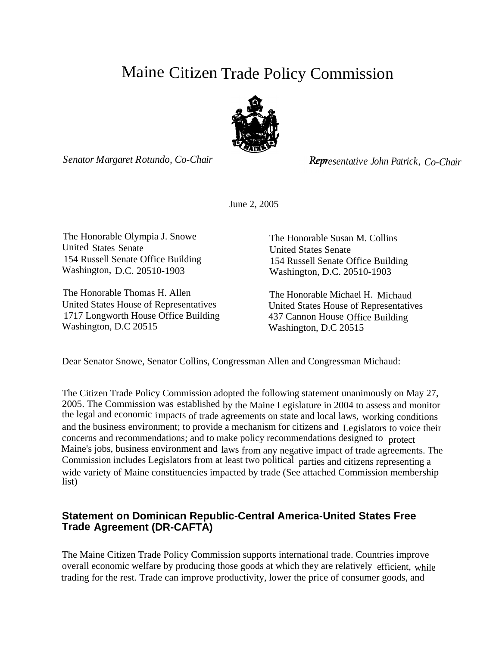# Maine Citizen Trade Policy Commission



*Senator Margaret Rotundo, Co-Chair*

*esentative John Patrick, Co-Chair*

June 2, 2005

The Honorable Olympia J. Snowe The Honorable Susan M. Collins United States Senate United States Senate 154 Russell Senate Office Building<br>
Washington, D.C. 20510-1903<br>
Washington, D.C. 20510-1903

The Honorable Thomas H. Allen The Honorable Michael H. Michaud<br>United States House of Representatives United States House of Representative 1717 Longworth House Office Building 437 Cannon House Office Building Washington, D.C 20515 Washington, D.C 20515

Washington, D.C. 20510-1903

United States House of Representatives

Dear Senator Snowe, Senator Collins, Congressman Allen and Congressman Michaud:

The Citizen Trade Policy Commission adopted the following statement unanimously on May 27, 2005. The Commission was established by the Maine Legislature in 2004 to assess and monitor the legal and economic impacts of trade agreements on state and local laws, working conditions and the business environment; to provide a mechanism for citizens and Legislators to voice their concerns and recommendations; and to make policy recommendations designed to protect Maine's jobs, business environment and laws from any negative impact of trade agreements. The Commission includes Legislators from at least two political parties and citizens representing a wide variety of Maine constituencies impacted by trade (See attached Commission membership list)

## **Statement on Dominican Republic-Central America-United States Free Trade Agreement (DR-CAFTA)**

The Maine Citizen Trade Policy Commission supports international trade. Countries improve overall economic welfare by producing those goods at which they are relatively efficient, while trading for the rest. Trade can improve productivity, lower the price of consumer goods, and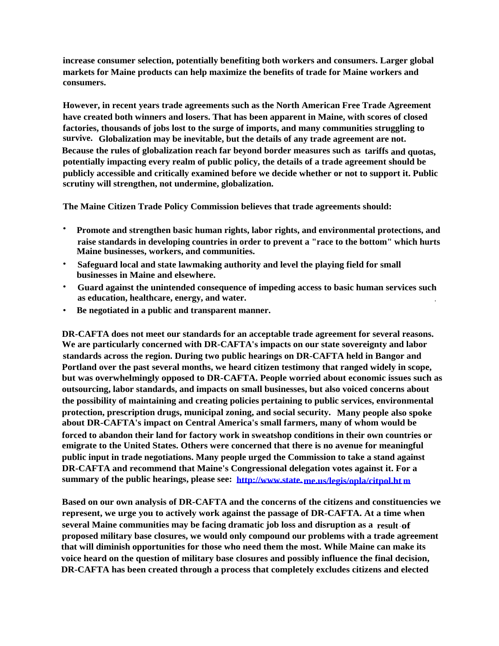**increase consumer selection, potentially benefiting both workers and consumers. Larger global markets for Maine products can help maximize the benefits of trade for Maine workers and consumers.**

**However, in recent years trade agreements such as the North American Free Trade Agreement have created both winners and losers. That has been apparent in Maine, with scores of closed factories, thousands of jobs lost to the surge of imports, and many communities struggling to survive. Globalization may be inevitable, but the details of any trade agreement are not. Because the rules of globalization reach far beyond border measures such as tariffs and quotas, potentially impacting every realm of public policy, the details of a trade agreement should be publicly accessible and critically examined before we decide whether or not to support it. Public scrutiny will strengthen, not undermine, globalization.**

**The Maine Citizen Trade Policy Commission believes that trade agreements should:**

- **Promote and strengthen basic human rights, labor rights, and environmental protections, and raise standards in developing countries in order to prevent a "race to the bottom" which hurts Maine businesses, workers, and communities.**
- **Safeguard local and state lawmaking authority and level the playing field for small businesses in Maine and elsewhere.**
- **Guard against the unintended consequence of impeding access to basic human services such as education, healthcare, energy, and water. .**
- **Be negotiated in a public and transparent manner.**

**DR-CAFTA does not meet our standards for an acceptable trade agreement for several reasons. We are particularly concerned with DR-CAFTA's impacts on our state sovereignty and labor standards across the region. During two public hearings on DR-CAFTA held in Bangor and Portland over the past several months, we heard citizen testimony that ranged widely in scope, but was overwhelmingly opposed to DR-CAFTA. People worried about economic issues such as outsourcing, labor standards, and impacts on small businesses, but also voiced concerns about the possibility of maintaining and creating policies pertaining to public services, environmental protection, prescription drugs, municipal zoning, and social security. Many people also spoke about DR-CAFTA's impact on Central America's small farmers, many of whom would be forced to abandon their land for factory work in sweatshop conditions in their own countries or emigrate to the United States. Others were concerned that there is no avenue for meaningful public input in trade negotiations. Many people urged the Commission to take a stand against DR-CAFTA and recommend that Maine's Congressional delegation votes against it. For a summary of the public hearings, please see: [http://www.state.me.us/legis/opla/citpol.ht](http://www.state.me.us/legis/opla/citpol.htm) [m](http://www.state.me.us/legis/opla/citpol.htm)**

**Based on our own analysis of DR-CAFTA and the concerns of the citizens and constituencies we represent, we urge you to actively work against the passage of DR-CAFTA. At a time when several Maine communities may be facing dramatic job loss and disruption as a result - of proposed military base closures, we would only compound our problems with a trade agreement that will diminish opportunities for those who need them the most. While Maine can make its voice heard on the question of military base closures and possibly influence the final decision, DR-CAFTA has been created through a process that completely excludes citizens and elected**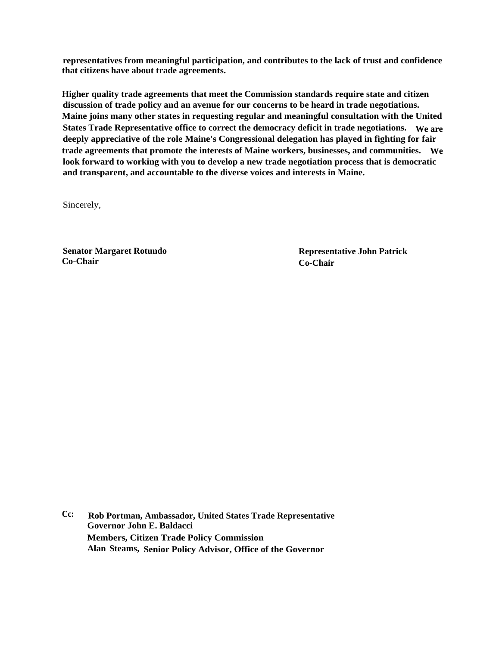**representatives from meaningful participation, and contributes to the lack of trust and confidence that citizens have about trade agreements.**

**Higher quality trade agreements that meet the Commission standards require state and citizen discussion of trade policy and an avenue for our concerns to be heard in trade negotiations. Maine joins many other states in requesting regular and meaningful consultation with the United States Trade Representative office to correct the democracy deficit in trade negotiations. We are deeply appreciative of the role Maine's Congressional delegation has played in fighting for fair trade agreements that promote the interests of Maine workers, businesses, and communities. We look forward to working with you to develop a new trade negotiation process that is democratic and transparent, and accountable to the diverse voices and interests in Maine.**

Sincerely,

**Co-Chair Co-Chair**

Senator Margaret Rotundo<br>
Co-Chair<br>
Co-Chair<br>
Co-Chair

**Cc: Rob Portman, Ambassador, United States Trade Representative Governor John E. Baldacci Members, Citizen Trade Policy Commission Alan Steams, Senior Policy Advisor, Office of the Governor**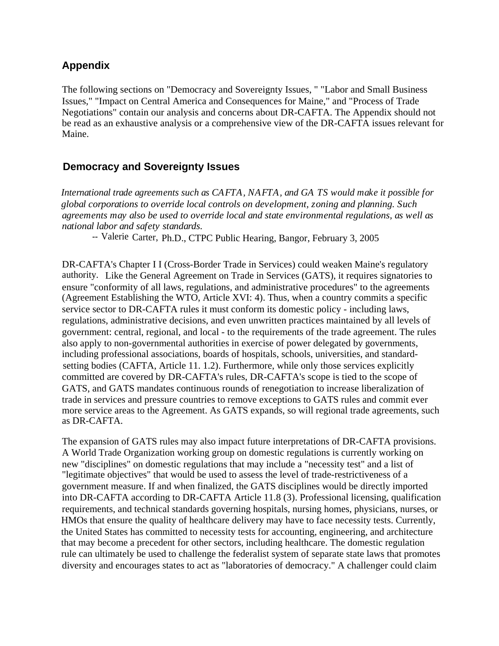## **Appendix**

The following sections on "Democracy and Sovereignty Issues, " "Labor and Small Business Issues," "Impact on Central America and Consequences for Maine," and "Process of Trade Negotiations" contain our analysis and concerns about DR-CAFTA. The Appendix should not be read as an exhaustive analysis or a comprehensive view of the DR-CAFTA issues relevant for Maine.

## **Democracy and Sovereignty Issues**

*International trade agreements such as CAFTA, NAFTA, and GA TS would make it possible for global corporations to override local controls on development, zoning and planning. Such agreements may also be used to override local and state environmental regulations, as well as national labor and safety standards.*

*--* Valerie Carter, Ph.D., CTPC Public Hearing, Bangor, February 3, 2005

DR-CAFTA's Chapter I I (Cross-Border Trade in Services) could weaken Maine's regulatory authority. Like the General Agreement on Trade in Services (GATS), it requires signatories to ensure "conformity of all laws, regulations, and administrative procedures" to the agreements (Agreement Establishing the WTO, Article XVI: 4). Thus, when a country commits a specific service sector to DR-CAFTA rules it must conform its domestic policy - including laws, regulations, administrative decisions, and even unwritten practices maintained by all levels of government: central, regional, and local - to the requirements of the trade agreement. The rules also apply to non-governmental authorities in exercise of power delegated by governments, including professional associations, boards of hospitals, schools, universities, and standardsetting bodies (CAFTA, Article 11. 1.2). Furthermore, while only those services explicitly committed are covered by DR-CAFTA's rules, DR-CAFTA's scope is tied to the scope of GATS, and GATS mandates continuous rounds of renegotiation to increase liberalization of trade in services and pressure countries to remove exceptions to GATS rules and commit ever more service areas to the Agreement. As GATS expands, so will regional trade agreements, such as DR-CAFTA.

The expansion of GATS rules may also impact future interpretations of DR-CAFTA provisions. A World Trade Organization working group on domestic regulations is currently working on new "disciplines" on domestic regulations that may include a "necessity test" and a list of "legitimate objectives" that would be used to assess the level of trade-restrictiveness of a government measure. If and when finalized, the GATS disciplines would be directly imported into DR-CAFTA according to DR-CAFTA Article 11.8 (3). Professional licensing, qualification requirements, and technical standards governing hospitals, nursing homes, physicians, nurses, or HMOs that ensure the quality of healthcare delivery may have to face necessity tests. Currently, the United States has committed to necessity tests for accounting, engineering, and architecture that may become a precedent for other sectors, including healthcare. The domestic regulation rule can ultimately be used to challenge the federalist system of separate state laws that promotes diversity and encourages states to act as "laboratories of democracy." A challenger could claim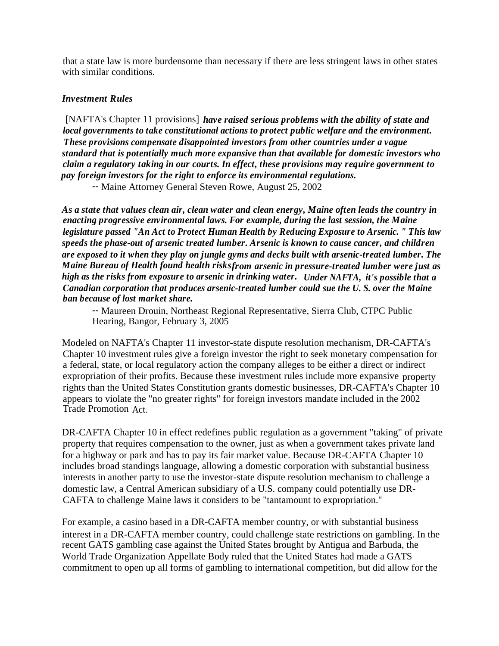that a state law is more burdensome than necessary if there are less stringent laws in other states with similar conditions.

#### *Investment Rules*

[NAFTA's Chapter 11 provisions] *have raised serious problems with the ability of state and local governments to take constitutional actions to protect public welfare and the environment. These provisions compensate disappointed investors from other countries under a vague standard that is potentially much more expansive than that available for domestic investors who claim a regulatory taking in our courts. In effect, these provisions may require government to pay foreign investors for the right to enforce its environmental regulations.*

*--* Maine Attorney General Steven Rowe, August 25, 2002

*As a state that values clean air, clean water and clean energy, Maine often leads the country in enacting progressive environmental laws. For example, during the last session, the Maine legislature passed "An Act to Protect Human Health by Reducing Exposure to Arsenic. " This law speeds the phase-out of arsenic treated lumber. Arsenic is known to cause cancer, and children are exposed to it when they play on jungle gyms and decks built with arsenic-treated lumber. The Maine Bureau of Health found health risksfrom arsenic in pressure-treated lumber were just as high as the risks from exposure to arsenic in drinking water. Under NAFTA, it's possible that a Canadian corporation that produces arsenic-treated lumber could sue the U. S. over the Maine ban because of lost market share.*

*--* Maureen Drouin, Northeast Regional Representative, Sierra Club, CTPC Public Hearing, Bangor, February 3, 2005

Modeled on NAFTA's Chapter 11 investor-state dispute resolution mechanism, DR-CAFTA's Chapter 10 investment rules give a foreign investor the right to seek monetary compensation for a federal, state, or local regulatory action the company alleges to be either a direct or indirect expropriation of their profits. Because these investment rules include more expansive property rights than the United States Constitution grants domestic businesses, DR-CAFTA's Chapter 10 appears to violate the "no greater rights" for foreign investors mandate included in the 2002 Trade Promotion Act.

DR-CAFTA Chapter 10 in effect redefines public regulation as a government "taking" of private property that requires compensation to the owner, just as when a government takes private land for a highway or park and has to pay its fair market value. Because DR-CAFTA Chapter 10 includes broad standings language, allowing a domestic corporation with substantial business interests in another party to use the investor-state dispute resolution mechanism to challenge a domestic law, a Central American subsidiary of a U.S. company could potentially use DR-CAFTA to challenge Maine laws it considers to be "tantamount to expropriation."

For example, a casino based in a DR-CAFTA member country, or with substantial business interest in a DR-CAFTA member country, could challenge state restrictions on gambling. In the recent GATS gambling case against the United States brought by Antigua and Barbuda, the World Trade Organization Appellate Body ruled that the United States had made a GATS commitment to open up all forms of gambling to international competition, but did allow for the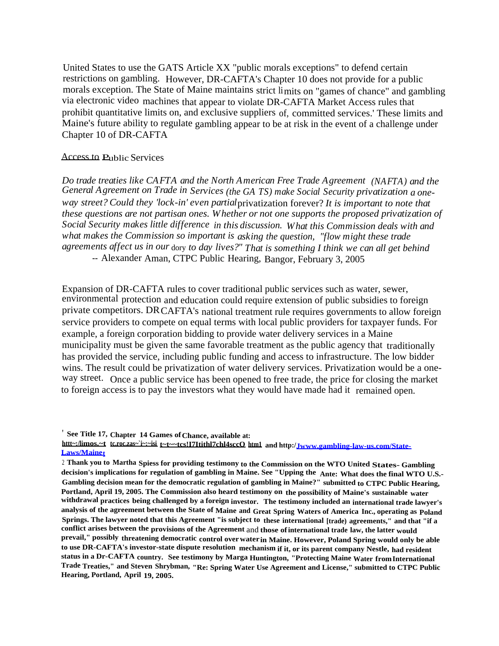United States to use the GATS Article XX "public morals exceptions" to defend certain restrictions on gambling. However, DR-CAFTA's Chapter 10 does not provide for a public morals exception. The State of Maine maintains strict limits on "games of chance" and gambling via electronic video machines that appear to violate DR-CAFTA Market Access rules that prohibit quantitative limits on, and exclusive suppliers of, committed services.' These limits and Maine's future ability to regulate gambling appear to be at risk in the event of a challenge under Chapter 10 of DR-CAFTA

#### Access to Public Services

*Do trade treaties like CAFTA and the North American Free Trade Agreement (NAFTA) and the General Agreement on Trade in Services (the GA TS) make Social Security privatization a oneway street? Could they 'lock-in' even partial*privatization forever? *It is important to note that these questions are not partisan ones. Whether or not one supports the proposed privatization of Social Security makes little difference in this discussion. What this Commission deals with and what makes the Commission so important is asking the question, "flow might these trade agreements affect us in our* dory *to day lives?" That is something I think we can all get behind --* Alexander Aman, CTPC Public Hearing, Bangor, February 3, 2005

Expansion of DR-CAFTA rules to cover traditional public services such as water, sewer, environmental protection and education could require extension of public subsidies to foreign private competitors. DRCAFTA's national treatment rule requires governments to allow foreign service providers to compete on equal terms with local public providers for taxpayer funds. For example, a foreign corporation bidding to provide water delivery services in a Maine municipality must be given the same favorable treatment as the public agency that traditionally has provided the service, including public funding and access to infrastructure. The low bidder wins. The result could be privatization of water delivery services. Privatization would be a oneway street. Once a public service has been opened to free trade, the price for closing the market to foreign access is to pay the investors what they would have made had it remained open.

<sup>&#</sup>x27; **See Title 17, Chapter 14 Games ofChance, available at:**

**httt~:/limos.~t tc.roc.zas~`i~:~isi t~t~~tcs!I7Itithl7chl4sccO htm1 and http:/[Jwww.gambling-law-us.com/State-](http://Jwww.gambling-law-us.com/State-Laws/Mainet)[Laws/Mainet](http://Jwww.gambling-law-us.com/State-Laws/Mainet)**

<sup>2</sup> **Thank you to Martha Spiess for providing testimony to the Commission on the WTO United States- Gambling decision's implications for regulation of gambling in Maine. See "Upping the Ante: What does the final WTO U.S.- Gambling decision mean for the democratic regulation of gambling in Maine?" submitted to CTPC Public Hearing, Portland, April 19, 2005. The Commission also heard testimony on the possibility of Maine's sustainable water withdrawal practices being challenged by a foreign investor. The testimony included an international trade lawyer's analysis of the agreement between the State of Maine and Great Spring Waters of America Inc., operating as Poland Springs. The lawyer noted that this Agreement "is subject to these international [trade) agreements," and that "if a conflict arises between the provisions of the Agreement** and **those ofinternational trade law, the latter would prevail," possibly threatening democratic control overwaterin Maine. However, Poland Spring would only be able to use DR-CAFTA's investor-state dispute resolution mechanism if it, or its parent company Nestle, had resident status in a Dr-CAFTA country. See testimony by Marga Huntington, "Protecting Maine Water fromInternational Trade Treaties," and Steven Shrybman, "Re: Spring Water Use Agreement and License," submitted to CTPC Public Hearing, Portland, April 19, 2005.**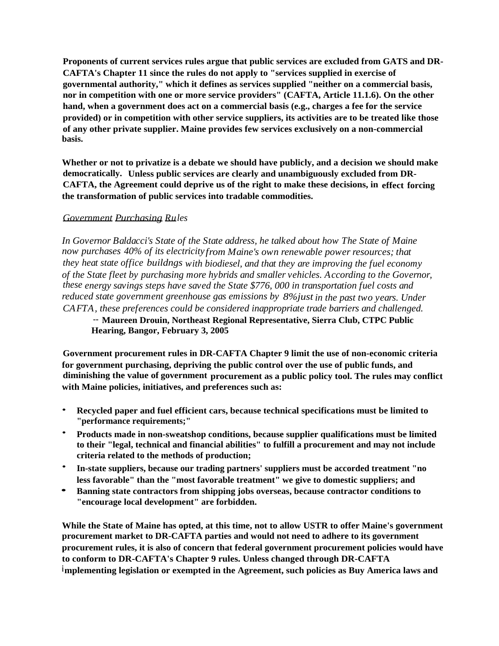**Proponents of current services rules argue that public services are excluded from GATS and DR-CAFTA's Chapter 11 since the rules do not apply to "services supplied in exercise of governmental authority," which it defines as services supplied "neither on a commercial basis, nor in competition with one or more service providers" (CAFTA, Article 11.1.6). On the other hand, when a government does act on a commercial basis (e.g., charges a fee for the service provided) or in competition with other service suppliers, its activities are to be treated like those of any other private supplier. Maine provides few services exclusively on a non-commercial basis.**

**Whether or not to privatize is a debate we should have publicly, and a decision we should make democratically. Unless public services are clearly and unambiguously excluded from DR-CAFTA, the Agreement could deprive us of the right to make these decisions, in effect forcing the transformation of public services into tradable commodities.**

### *Government Purchasing Rules*

*In Governor Baldacci's State of the State address, he talked about how The State of Maine now purchases 40% of its electricityfrom Maine's own renewable power resources; that they heat state office buildngs with biodiesel, and that they are improving the fuel economy of the State fleet by purchasing more hybrids and smaller vehicles. According to the Governor, these energy savings steps have saved the State \$776, 000 in transportation fuel costs and reduced state government greenhouse gas emissions by 8%just in the past two years. Under CAFTA, these preferences could be considered inappropriate trade barriers and challenged.*

*--* **Maureen Drouin, Northeast Regional Representative, Sierra Club, CTPC Public Hearing, Bangor, February 3, 2005**

**Government procurement rules in DR-CAFTA Chapter 9 limit the use of non-economic criteria for government purchasing, depriving the public control over the use of public funds, and diminishing the value of government procurement as a public policy tool. The rules may conflict with Maine policies, initiatives, and preferences such as:**

- **Recycled paper and fuel efficient cars, because technical specifications must be limited to "performance requirements;"**
- **Products made in non-sweatshop conditions, because supplier qualifications must be limited to their "legal, technical and financial abilities" to fulfill a procurement and may not include criteria related to the methods of production;**
- **In-state suppliers, because our trading partners' suppliers must be accorded treatment "no less favorable" than the "most favorable treatment" we give to domestic suppliers; and**
- **• Banning state contractors from shipping jobs overseas, because contractor conditions to "encourage local development" are forbidden.**

**While the State of Maine has opted, at this time, not to allow USTR to offer Maine's government procurement market to DR-CAFTA parties and would not need to adhere to its government procurement rules, it is also of concern that federal government procurement policies would have to conform to DR-CAFTA's Chapter 9 rules. Unless changed through DR-CAFTA implementing legislation or exempted in the Agreement, such policies as Buy America laws and**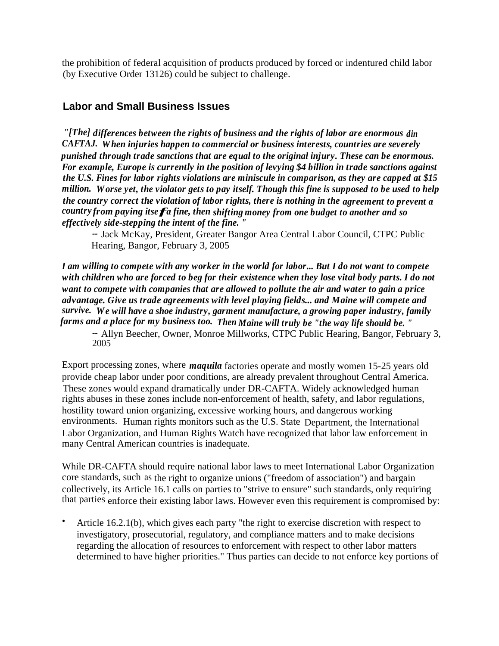the prohibition of federal acquisition of products produced by forced or indentured child labor (by Executive Order 13126) could be subject to challenge.

## **Labor and Small Business Issues**

*"[The] differences between the rights of business and the rights of labor are enormous din CAFTAJ. When injuries happen to commercial or business interests, countries are severely punished through trade sanctions that are equal to the original injury. These can be enormous. For example, Europe is currently in the position of levying \$4 billion in trade sanctions against the U.S. Fines for labor rights violations are miniscule in comparison, as they are capped at \$15 million. Worse yet, the violator gets to pay itself. Though this fine is supposed to be used to help the country correct the violation of labor rights, there is nothing in the agreement to prevent a countryfrom paying itsefa fine, then shifting money from one budget to another and so effectively side-stepping the intent of the fine. "*

*--* Jack McKay, President, Greater Bangor Area Central Labor Council, CTPC Public Hearing, Bangor, February 3, 2005

*I am willing to compete with any worker in the world for labor... But I do not want to compete with children who are forced to beg for their existence when they lose vital body parts. I do not want to compete with companies that are allowed to pollute the air and water to gain a price advantage. Give us trade agreements with level playing fields... and Maine will compete and survive. We will have a shoe industry, garment manufacture, a growing paper industry, family farms and a place for my business too. Then Maine will truly be "the way life should be. "*

*--* Allyn Beecher, Owner, Monroe Millworks, CTPC Public Hearing, Bangor, February 3, 2005

Export processing zones, where *maquila* factories operate and mostly women 15-25 years old provide cheap labor under poor conditions, are already prevalent throughout Central America. These zones would expand dramatically under DR-CAFTA. Widely acknowledged human rights abuses in these zones include non-enforcement of health, safety, and labor regulations, hostility toward union organizing, excessive working hours, and dangerous working environments. Human rights monitors such as the U.S. State Department, the International Labor Organization, and Human Rights Watch have recognized that labor law enforcement in many Central American countries is inadequate.

While DR-CAFTA should require national labor laws to meet International Labor Organization core standards, such as the right to organize unions ("freedom of association") and bargain collectively, its Article 16.1 calls on parties to "strive to ensure" such standards, only requiring that parties enforce their existing labor laws. However even this requirement is compromised by:

• Article 16.2.1(b), which gives each party "the right to exercise discretion with respect to investigatory, prosecutorial, regulatory, and compliance matters and to make decisions regarding the allocation of resources to enforcement with respect to other labor matters determined to have higher priorities." Thus parties can decide to not enforce key portions of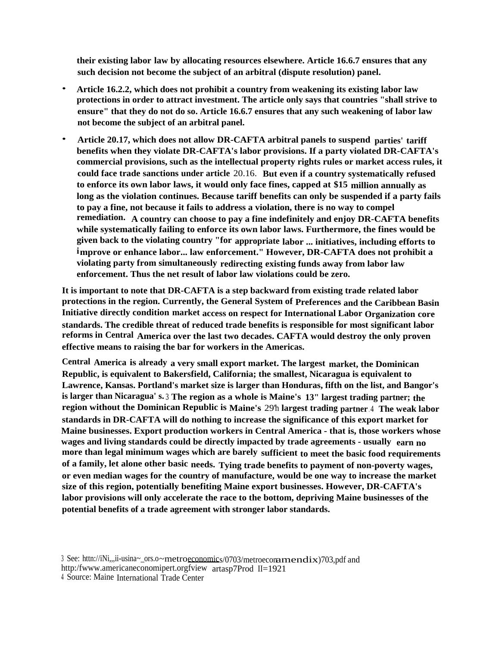**their existing labor law by allocating resources elsewhere. Article 16.6.7 ensures that any such decision not become the subject of an arbitral (dispute resolution) panel.**

- **Article 16.2.2, which does not prohibit a country from weakening its existing labor law protections in order to attract investment. The article only says that countries "shall strive to ensure" that they do not do so. Article 16.6.7 ensures that any such weakening of labor law not become the subject of an arbitral panel.**
- **Article 20.17, which does not allow DR-CAFTA arbitral panels to suspend parties' tariff benefits when they violate DR-CAFTA's labor provisions. If a party violated DR-CAFTA's commercial provisions, such as the intellectual property rights rules or market access rules, it could face trade sanctions under article** 20.16. **But even if a country systematically refused to enforce its own labor laws, it would only face fines, capped at \$15 million annually as long as the violation continues. Because tariff benefits can only be suspended if a party fails to pay a fine, not because it fails to address a violation, there is no way to compel remediation. A country can choose to pay a fine indefinitely and enjoy DR-CAFTA benefits while systematically failing to enforce its own labor laws. Furthermore, the fines would be given back to the violating country "for appropriate labor ... initiatives, including efforts to improve or enhance labor... law enforcement." However, DR-CAFTA does not prohibit a violating party from simultaneously redirecting existing funds away from labor law enforcement. Thus the net result of labor law violations could be zero.**

**It is important to note that DR-CAFTA is a step backward from existing trade related labor protections in the region. Currently, the General System of Preferences and the Caribbean Basin Initiative directly condition market access on respect for International Labor Organization core standards. The credible threat of reduced trade benefits is responsible for most significant labor reforms in Central America over the last two decades. CAFTA would destroy the only proven effective means to raising the bar for workers in the Americas.**

**Central America is already a very small export market. The largest market, the Dominican Republic, is equivalent to Bakersfield, California; the smallest, Nicaragua is equivalent to Lawrence, Kansas. Portland's market size is larger than Honduras, fifth on the list, and Bangor's is larger than Nicaragua' s.** <sup>3</sup> **The region as a whole is Maine's 13" largest trading partner; the region without the Dominican Republic is Maine's** 29'h **largest trading partner** . <sup>4</sup> **The weak labor standards in DR-CAFTA will do nothing to increase the significance of this export market for Maine businesses. Export production workers in Central America - that is, those workers whose wages and living standards could be directly impacted by trade agreements - usually earn no more than legal minimum wages which are barely sufficient to meet the basic food requirements of a family, let alone other basic needs. Tying trade benefits to payment of non-poverty wages, or even median wages for the country of manufacture, would be one way to increase the market size of this region, potentially benefiting Maine export businesses. However, DR-CAFTA's labor provisions will only accelerate the race to the bottom, depriving Maine businesses of the potential benefits of a trade agreement with stronger labor standards.**

<sup>3</sup> See: httn://iNi,,,ii-usina~\_ors.o~metroeconomics/0703/metroeconamendix)703,pdf and http:/fwww.americaneconomipert.orgfview artasp7Prod II=1921

<sup>4</sup> Source: Maine International Trade Center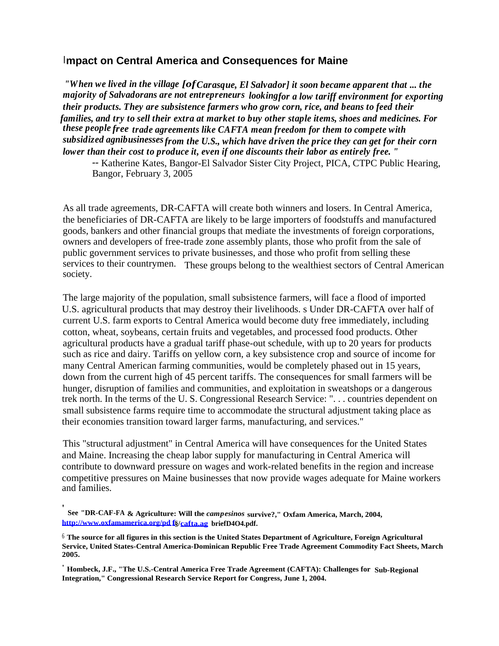## **Impact on Central America and Consequences for Maine**

*"When we lived in the village [ofCarasque, El Salvador] it soon became apparent that ... the majority of Salvadorans are not entrepreneurs lookingfor a low tariff environment for exporting their products. They are subsistence farmers who grow corn, rice, and beans to feed their families, and try to sell their extra at market to buy other staple items, shoes and medicines. For these people free trade agreements like CAFTA mean freedom for them to compete with subsidized agnibusinessesfrom the U.S., which have driven the price they can get for their corn lower than their cost to produce it, even if one discounts their labor as entirely free. "*

*--* Katherine Kates, Bangor-El Salvador Sister City Project, PICA, CTPC Public Hearing, Bangor, February 3, 2005

As all trade agreements, DR-CAFTA will create both winners and losers. In Central America, the beneficiaries of DR-CAFTA are likely to be large importers of foodstuffs and manufactured goods, bankers and other financial groups that mediate the investments of foreign corporations, owners and developers of free-trade zone assembly plants, those who profit from the sale of public government services to private businesses, and those who profit from selling these services to their countrymen. These groups belong to the wealthiest sectors of Central American society.

The large majority of the population, small subsistence farmers, will face a flood of imported U.S. agricultural products that may destroy their livelihoods. s Under DR-CAFTA over half of current U.S. farm exports to Central America would become duty free immediately, including cotton, wheat, soybeans, certain fruits and vegetables, and processed food products. Other agricultural products have a gradual tariff phase-out schedule, with up to 20 years for products such as rice and dairy. Tariffs on yellow corn, a key subsistence crop and source of income for many Central American farming communities, would be completely phased out in 15 years, down from the current high of 45 percent tariffs. The consequences for small farmers will be hunger, disruption of families and communities, and exploitation in sweatshops or a dangerous trek north. In the terms of the U. S. Congressional Research Service: ". . . countries dependent on small subsistence farms require time to accommodate the structural adjustment taking place as their economies transition toward larger farms, manufacturing, and services."

This "structural adjustment" in Central America will have consequences for the United States and Maine. Increasing the cheap labor supply for manufacturing in Central America will contribute to downward pressure on wages and work-related benefits in the region and increase competitive pressures on Maine businesses that now provide wages adequate for Maine workers and families.

'

**See "DR-CAF-FA & Agriculture: Will the** *campesinos* **survive?," Oxfam America, March, 2004, [http://www.oxfamamerica.org/pd](http://www.oxfamamerica.org/pdf) [f§](http://www.oxfamamerica.org/pdf)/[cafta.ag](http://cafta.ag) briefD4O4.pdf.**

<sup>6</sup> **The source for all figures in this section is the United States Department of Agriculture, Foreign Agricultural Service, United States-Central America-Dominican Republic Free Trade Agreement Commodity Fact Sheets, March 2005.**

**<sup>&#</sup>x27; Hombeck, J.F., "The U.S.-Central America Free Trade Agreement (CAFTA): Challenges for Sub-Regional Integration," Congressional Research Service Report for Congress, June 1, 2004.**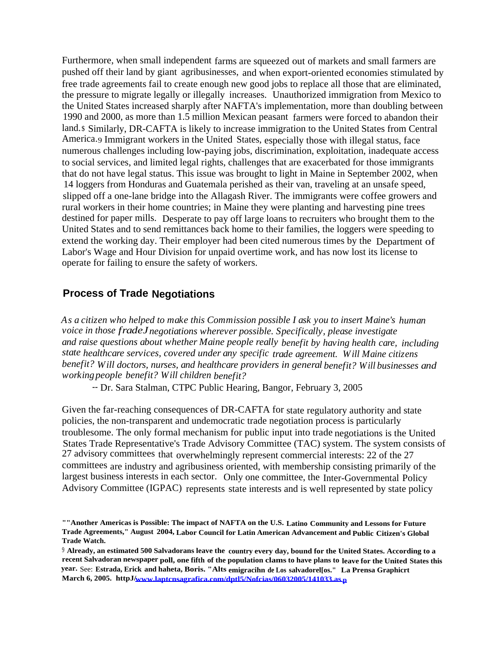Furthermore, when small independent farms are squeezed out of markets and small farmers are pushed off their land by giant agribusinesses, and when export-oriented economies stimulated by free trade agreements fail to create enough new good jobs to replace all those that are eliminated, the pressure to migrate legally or illegally increases. Unauthorized immigration from Mexico to the United States increased sharply after NAFTA's implementation, more than doubling between 1990 and 2000, as more than 1.5 million Mexican peasant farmers were forced to abandon their land.\$ Similarly, DR-CAFTA is likely to increase immigration to the United States from Central America.9 Immigrant workers in the United States, especially those with illegal status, face numerous challenges including low-paying jobs, discrimination, exploitation, inadequate access to social services, and limited legal rights, challenges that are exacerbated for those immigrants that do not have legal status. This issue was brought to light in Maine in September 2002, when 14 loggers from Honduras and Guatemala perished as their van, traveling at an unsafe speed, slipped off a one-lane bridge into the Allagash River. The immigrants were coffee growers and rural workers in their home countries; in Maine they were planting and harvesting pine trees destined for paper mills. Desperate to pay off large loans to recruiters who brought them to the United States and to send remittances back home to their families, the loggers were speeding to extend the working day. Their employer had been cited numerous times by the Department of Labor's Wage and Hour Division for unpaid overtime work, and has now lost its license to operate for failing to ensure the safety of workers.

## **Process of Trade Negotiations**

*As a citizen who helped to make this Commission possible I ask you to insert Maine's human voice in those fradeJ negotiations wherever possible. Specifically, please investigate and raise questions about whether Maine people really benefit by having health care, including state healthcare services, covered under any specific trade agreement. Will Maine citizens benefit? Will doctors, nurses, and healthcare providers in general benefit? Will businesses and workingpeople benefit? Will children benefit?*

*--* Dr. Sara Stalman, CTPC Public Hearing, Bangor, February 3, 2005

Given the far-reaching consequences of DR-CAFTA for state regulatory authority and state policies, the non-transparent and undemocratic trade negotiation process is particularly troublesome. The only formal mechanism for public input into trade negotiations is the United States Trade Representative's Trade Advisory Committee (TAC) system. The system consists of 27 advisory committees that overwhelmingly represent commercial interests: 22 of the 27 committees are industry and agribusiness oriented, with membership consisting primarily of the largest business interests in each sector. Only one committee, the Inter-Governmental Policy Advisory Committee (IGPAC) represents state interests and is well represented by state policy

**<sup>&</sup>quot;"Another Americas is Possible: The impact of NAFTA on the U.S. Latino Community and Lessons for Future Trade Agreements," August 2004, Labor Council for Latin American Advancement and Public Citizen's Global Trade Watch.**

<sup>9</sup> **Already, an estimated 500 Salvadorans leave the country every day, bound for the United States. According to a recent Salvadoran newspaper poll, one fifth of the population clamsto have plans to leave for the United States this year.** See: **Estrada, Erick and haheta, Boris. "Alts emigracihn de Los salvadorel[os." La Prensa Graphicrt March 6, 2005. httpJ[/www.laptcnsagrafica.com/dptl5/Nofcias/06032005/141033.as](http://www.laptcnsagrafica.com/dptl5/Nofcias/06032005/141033.asp) [p](http://www.laptcnsagrafica.com/dptl5/Nofcias/06032005/141033.asp)**